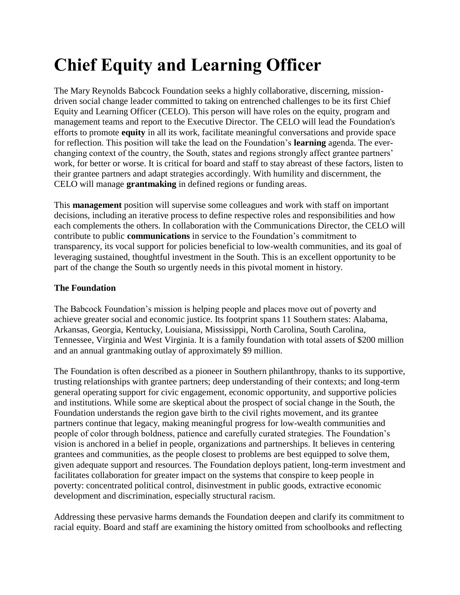# **Chief Equity and Learning Officer**

The Mary Reynolds Babcock Foundation seeks a highly collaborative, discerning, missiondriven social change leader committed to taking on entrenched challenges to be its first Chief Equity and Learning Officer (CELO). This person will have roles on the equity, program and management teams and report to the Executive Director. The CELO will lead the Foundation's efforts to promote **equity** in all its work, facilitate meaningful conversations and provide space for reflection. This position will take the lead on the Foundation's **learning** agenda. The everchanging context of the country, the South, states and regions strongly affect grantee partners' work, for better or worse. It is critical for board and staff to stay abreast of these factors, listen to their grantee partners and adapt strategies accordingly. With humility and discernment, the CELO will manage **grantmaking** in defined regions or funding areas.

This **management** position will supervise some colleagues and work with staff on important decisions, including an iterative process to define respective roles and responsibilities and how each complements the others. In collaboration with the Communications Director, the CELO will contribute to public **communications** in service to the Foundation's commitment to transparency, its vocal support for policies beneficial to low-wealth communities, and its goal of leveraging sustained, thoughtful investment in the South. This is an excellent opportunity to be part of the change the South so urgently needs in this pivotal moment in history.

#### **The Foundation**

The Babcock Foundation's mission is helping people and places move out of poverty and achieve greater social and economic justice. Its footprint spans 11 Southern states: Alabama, Arkansas, Georgia, Kentucky, Louisiana, Mississippi, North Carolina, South Carolina, Tennessee, Virginia and West Virginia. It is a family foundation with total assets of \$200 million and an annual grantmaking outlay of approximately \$9 million.

The Foundation is often described as a pioneer in Southern philanthropy, thanks to its supportive, trusting relationships with grantee partners; deep understanding of their contexts; and long-term general operating support for civic engagement, economic opportunity, and supportive policies and institutions. While some are skeptical about the prospect of social change in the South, the Foundation understands the region gave birth to the civil rights movement, and its grantee partners continue that legacy, making meaningful progress for low-wealth communities and people of color through boldness, patience and carefully curated strategies. The Foundation's vision is anchored in a belief in people, organizations and partnerships. It believes in centering grantees and communities, as the people closest to problems are best equipped to solve them, given adequate support and resources. The Foundation deploys patient, long-term investment and facilitates collaboration for greater impact on the systems that conspire to keep people in poverty: concentrated political control, disinvestment in public goods, extractive economic development and discrimination, especially structural racism.

Addressing these pervasive harms demands the Foundation deepen and clarify its commitment to racial equity. Board and staff are examining the history omitted from schoolbooks and reflecting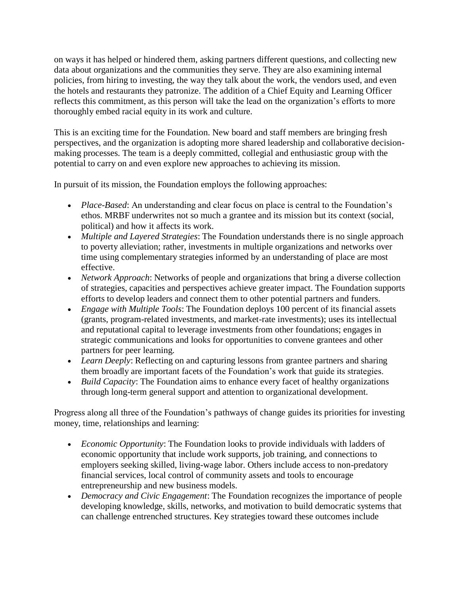on ways it has helped or hindered them, asking partners different questions, and collecting new data about organizations and the communities they serve. They are also examining internal policies, from hiring to investing, the way they talk about the work, the vendors used, and even the hotels and restaurants they patronize. The addition of a Chief Equity and Learning Officer reflects this commitment, as this person will take the lead on the organization's efforts to more thoroughly embed racial equity in its work and culture.

This is an exciting time for the Foundation. New board and staff members are bringing fresh perspectives, and the organization is adopting more shared leadership and collaborative decisionmaking processes. The team is a deeply committed, collegial and enthusiastic group with the potential to carry on and even explore new approaches to achieving its mission.

In pursuit of its mission, the Foundation employs the following approaches:

- *Place-Based*: An understanding and clear focus on place is central to the Foundation's ethos. MRBF underwrites not so much a grantee and its mission but its context (social, political) and how it affects its work.
- *Multiple and Layered Strategies*: The Foundation understands there is no single approach to poverty alleviation; rather, investments in multiple organizations and networks over time using complementary strategies informed by an understanding of place are most effective.
- *Network Approach*: Networks of people and organizations that bring a diverse collection of strategies, capacities and perspectives achieve greater impact. The Foundation supports efforts to develop leaders and connect them to other potential partners and funders.
- *Engage with Multiple Tools*: The Foundation deploys 100 percent of its financial assets (grants, program-related investments, and market-rate investments); uses its intellectual and reputational capital to leverage investments from other foundations; engages in strategic communications and looks for opportunities to convene grantees and other partners for peer learning.
- *Learn Deeply*: Reflecting on and capturing lessons from grantee partners and sharing them broadly are important facets of the Foundation's work that guide its strategies.
- *Build Capacity:* The Foundation aims to enhance every facet of healthy organizations through long-term general support and attention to organizational development.

Progress along all three of the Foundation's pathways of change guides its priorities for investing money, time, relationships and learning:

- *Economic Opportunity*: The Foundation looks to provide individuals with ladders of economic opportunity that include work supports, job training, and connections to employers seeking skilled, living-wage labor. Others include access to non-predatory financial services, local control of community assets and tools to encourage entrepreneurship and new business models.
- *Democracy and Civic Engagement*: The Foundation recognizes the importance of people developing knowledge, skills, networks, and motivation to build democratic systems that can challenge entrenched structures. Key strategies toward these outcomes include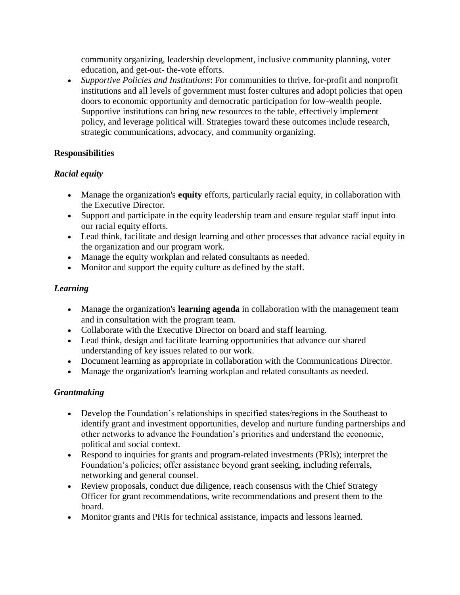community organizing, leadership development, inclusive community planning, voter education, and get-out- the-vote efforts.

• *Supportive Policies and Institutions*: For communities to thrive, for-profit and nonprofit institutions and all levels of government must foster cultures and adopt policies that open doors to economic opportunity and democratic participation for low-wealth people. Supportive institutions can bring new resources to the table, effectively implement policy, and leverage political will. Strategies toward these outcomes include research, strategic communications, advocacy, and community organizing.

## **Responsibilities**

## *Racial equity*

- Manage the organization's **equity** efforts, particularly racial equity, in collaboration with the Executive Director.
- Support and participate in the equity leadership team and ensure regular staff input into our racial equity efforts.
- Lead think, facilitate and design learning and other processes that advance racial equity in the organization and our program work.
- Manage the equity workplan and related consultants as needed.
- Monitor and support the equity culture as defined by the staff.

## *Learning*

- Manage the organization's **learning agenda** in collaboration with the management team and in consultation with the program team.
- Collaborate with the Executive Director on board and staff learning.
- Lead think, design and facilitate learning opportunities that advance our shared understanding of key issues related to our work.
- Document learning as appropriate in collaboration with the Communications Director.
- Manage the organization's learning workplan and related consultants as needed.

## *Grantmaking*

- Develop the Foundation's relationships in specified states/regions in the Southeast to identify grant and investment opportunities, develop and nurture funding partnerships and other networks to advance the Foundation's priorities and understand the economic, political and social context.
- Respond to inquiries for grants and program-related investments (PRIs); interpret the Foundation's policies; offer assistance beyond grant seeking, including referrals, networking and general counsel.
- Review proposals, conduct due diligence, reach consensus with the Chief Strategy Officer for grant recommendations, write recommendations and present them to the board.
- Monitor grants and PRIs for technical assistance, impacts and lessons learned.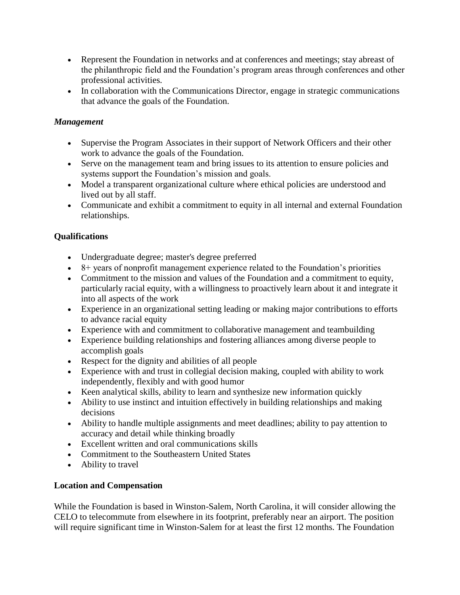- Represent the Foundation in networks and at conferences and meetings; stay abreast of the philanthropic field and the Foundation's program areas through conferences and other professional activities.
- In collaboration with the Communications Director, engage in strategic communications that advance the goals of the Foundation.

## *Management*

- Supervise the Program Associates in their support of Network Officers and their other work to advance the goals of the Foundation.
- Serve on the management team and bring issues to its attention to ensure policies and systems support the Foundation's mission and goals.
- Model a transparent organizational culture where ethical policies are understood and lived out by all staff.
- Communicate and exhibit a commitment to equity in all internal and external Foundation relationships.

## **Qualifications**

- Undergraduate degree; master's degree preferred
- $\bullet$  8+ years of nonprofit management experience related to the Foundation's priorities
- Commitment to the mission and values of the Foundation and a commitment to equity, particularly racial equity, with a willingness to proactively learn about it and integrate it into all aspects of the work
- Experience in an organizational setting leading or making major contributions to efforts to advance racial equity
- Experience with and commitment to collaborative management and teambuilding
- Experience building relationships and fostering alliances among diverse people to accomplish goals
- Respect for the dignity and abilities of all people
- Experience with and trust in collegial decision making, coupled with ability to work independently, flexibly and with good humor
- Keen analytical skills, ability to learn and synthesize new information quickly
- Ability to use instinct and intuition effectively in building relationships and making decisions
- Ability to handle multiple assignments and meet deadlines; ability to pay attention to accuracy and detail while thinking broadly
- Excellent written and oral communications skills
- Commitment to the Southeastern United States
- Ability to travel

## **Location and Compensation**

While the Foundation is based in Winston-Salem, North Carolina, it will consider allowing the CELO to telecommute from elsewhere in its footprint, preferably near an airport. The position will require significant time in Winston-Salem for at least the first 12 months. The Foundation